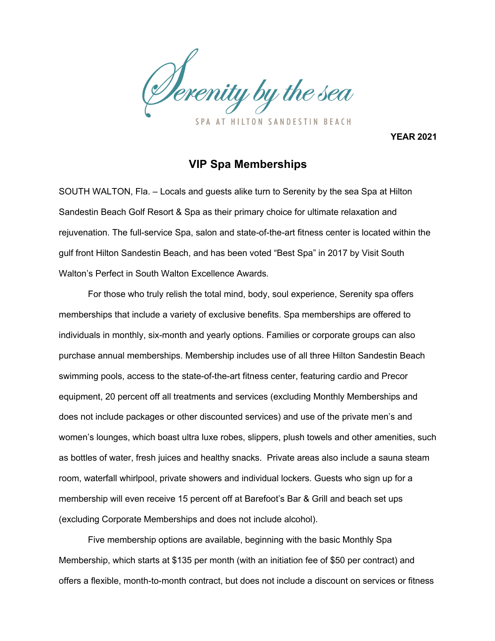

**YEAR 2021**

## **VIP Spa Memberships**

SOUTH WALTON, Fla. – Locals and guests alike turn to Serenity by the sea Spa at Hilton Sandestin Beach Golf Resort & Spa as their primary choice for ultimate relaxation and rejuvenation. The full-service Spa, salon and state-of-the-art fitness center is located within the gulf front Hilton Sandestin Beach, and has been voted "Best Spa" in 2017 by Visit South Walton's Perfect in South Walton Excellence Awards*.*

For those who truly relish the total mind, body, soul experience, Serenity spa offers memberships that include a variety of exclusive benefits. Spa memberships are offered to individuals in monthly, six-month and yearly options. Families or corporate groups can also purchase annual memberships. Membership includes use of all three Hilton Sandestin Beach swimming pools, access to the state-of-the-art fitness center, featuring cardio and Precor equipment, 20 percent off all treatments and services (excluding Monthly Memberships and does not include packages or other discounted services) and use of the private men's and women's lounges, which boast ultra luxe robes, slippers, plush towels and other amenities, such as bottles of water, fresh juices and healthy snacks. Private areas also include a sauna steam room, waterfall whirlpool, private showers and individual lockers. Guests who sign up for a membership will even receive 15 percent off at Barefoot's Bar & Grill and beach set ups (excluding Corporate Memberships and does not include alcohol).

Five membership options are available, beginning with the basic Monthly Spa Membership, which starts at \$135 per month (with an initiation fee of \$50 per contract) and offers a flexible, month-to-month contract, but does not include a discount on services or fitness